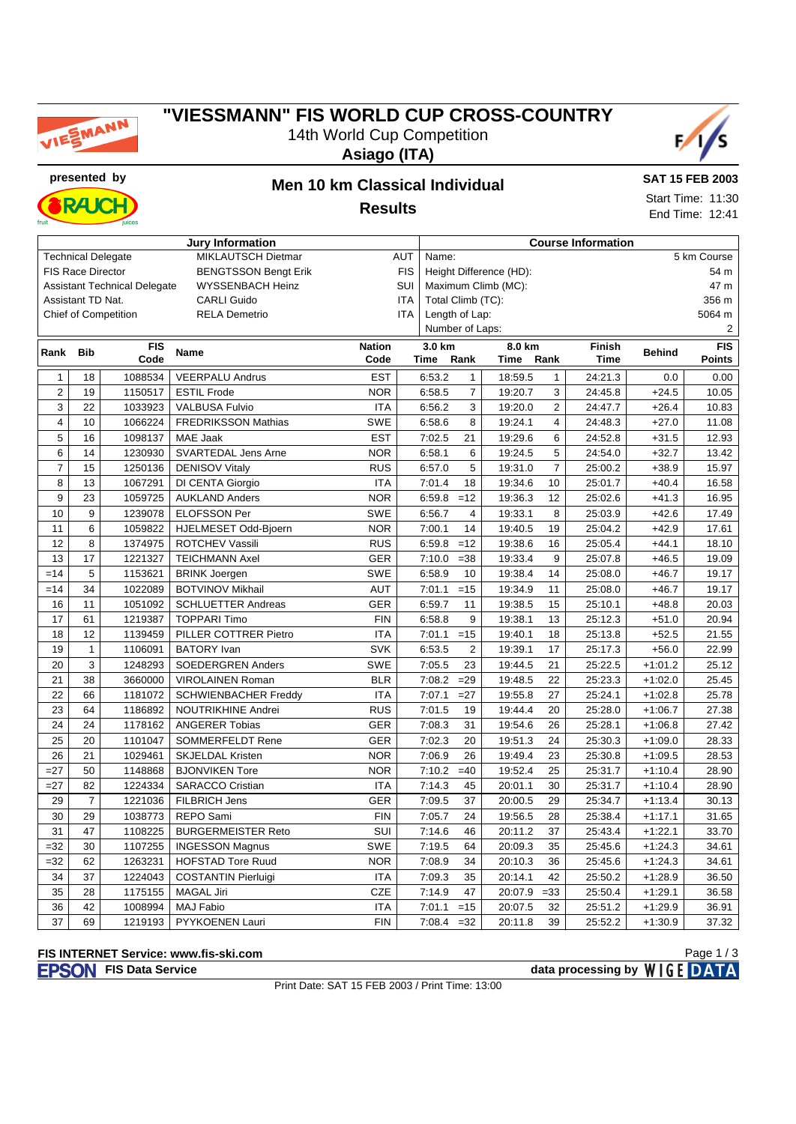

## **"VIESSMANN" FIS WORLD CUP CROSS-COUNTRY** 14th World Cup Competition

**Asiago (ITA)**



**presented by Men 10 km Classical Individual RAJC** 

**SAT 15 FEB 2003** Start Time: 11:30

**Results**

End Time: 12:41

| <b>Jury Information</b> |                          |                                     |                             |               |                      |                                 | <b>Course Information</b> |         |                |             |               |                  |  |
|-------------------------|--------------------------|-------------------------------------|-----------------------------|---------------|----------------------|---------------------------------|---------------------------|---------|----------------|-------------|---------------|------------------|--|
|                         |                          | <b>Technical Delegate</b>           | MIKLAUTSCH Dietmar          | <b>AUT</b>    | 5 km Course<br>Name: |                                 |                           |         |                |             |               |                  |  |
|                         | <b>FIS Race Director</b> |                                     | <b>BENGTSSON Bengt Erik</b> |               | <b>FIS</b>           | Height Difference (HD):<br>54 m |                           |         |                |             |               |                  |  |
|                         |                          | <b>Assistant Technical Delegate</b> | <b>WYSSENBACH Heinz</b>     |               | SUI                  | Maximum Climb (MC):<br>47 m     |                           |         |                |             |               |                  |  |
|                         | Assistant TD Nat.        |                                     | <b>CARLI Guido</b>          |               | ITA                  | Total Climb (TC):<br>356 m      |                           |         |                |             |               |                  |  |
|                         |                          | <b>Chief of Competition</b>         | <b>RELA Demetrio</b>        |               | <b>ITA</b>           | Length of Lap:<br>5064 m        |                           |         |                |             |               |                  |  |
|                         |                          |                                     |                             |               |                      | Number of Laps:<br>2            |                           |         |                |             |               |                  |  |
| Rank                    | <b>Bib</b>               | <b>FIS</b>                          | <b>Name</b>                 | <b>Nation</b> |                      | 3.0 km                          |                           | 8.0 km  |                | Finish      | <b>Behind</b> | $\overline{FIS}$ |  |
|                         |                          | Code                                |                             | Code          |                      | Time                            | Rank                      | Time    | Rank           | <b>Time</b> |               | <b>Points</b>    |  |
| $\mathbf{1}$            | 18                       | 1088534                             | <b>VEERPALU Andrus</b>      | <b>EST</b>    |                      | 6:53.2                          | 1                         | 18:59.5 | $\mathbf{1}$   | 24:21.3     | 0.0           | 0.00             |  |
| $\overline{2}$          | 19                       | 1150517                             | <b>ESTIL Frode</b>          | <b>NOR</b>    |                      | 6:58.5                          | $\overline{7}$            | 19:20.7 | 3              | 24:45.8     | $+24.5$       | 10.05            |  |
| 3                       | 22                       | 1033923                             | <b>VALBUSA Fulvio</b>       | <b>ITA</b>    |                      | 6:56.2                          | 3                         | 19:20.0 | $\overline{2}$ | 24:47.7     | $+26.4$       | 10.83            |  |
| $\overline{\mathbf{4}}$ | 10                       | 1066224                             | <b>FREDRIKSSON Mathias</b>  | SWE           |                      | 6:58.6                          | 8                         | 19:24.1 | $\overline{4}$ | 24:48.3     | $+27.0$       | 11.08            |  |
| 5                       | 16                       | 1098137                             | <b>MAE Jaak</b>             | <b>EST</b>    |                      | 7:02.5                          | 21                        | 19:29.6 | 6              | 24:52.8     | $+31.5$       | 12.93            |  |
| 6                       | 14                       | 1230930                             | SVARTEDAL Jens Arne         | <b>NOR</b>    |                      | 6:58.1                          | 6                         | 19:24.5 | 5              | 24:54.0     | $+32.7$       | 13.42            |  |
| $\overline{7}$          | 15                       | 1250136                             | <b>DENISOV Vitaly</b>       | <b>RUS</b>    |                      | 6:57.0                          | 5                         | 19:31.0 | $\overline{7}$ | 25:00.2     | $+38.9$       | 15.97            |  |
| 8                       | 13                       | 1067291                             | DI CENTA Giorgio            | <b>ITA</b>    |                      | 7:01.4                          | 18                        | 19:34.6 | 10             | 25:01.7     | $+40.4$       | 16.58            |  |
| 9                       | 23                       | 1059725                             | <b>AUKLAND Anders</b>       | <b>NOR</b>    |                      | 6:59.8                          | $=12$                     | 19:36.3 | 12             | 25:02.6     | $+41.3$       | 16.95            |  |
| 10                      | 9                        | 1239078                             | <b>ELOFSSON Per</b>         | <b>SWE</b>    |                      | 6:56.7                          | $\overline{4}$            | 19:33.1 | 8              | 25:03.9     | $+42.6$       | 17.49            |  |
| 11                      | 6                        | 1059822                             | HJELMESET Odd-Bjoern        | <b>NOR</b>    |                      | 7:00.1                          | 14                        | 19:40.5 | 19             | 25:04.2     | $+42.9$       | 17.61            |  |
| 12                      | 8                        | 1374975                             | ROTCHEV Vassili             | <b>RUS</b>    |                      | 6:59.8                          | $=12$                     | 19:38.6 | 16             | 25:05.4     | $+44.1$       | 18.10            |  |
| 13                      | 17                       | 1221327                             | <b>TEICHMANN Axel</b>       | <b>GER</b>    |                      | 7:10.0                          | $=38$                     | 19:33.4 | 9              | 25:07.8     | $+46.5$       | 19.09            |  |
| $=14$                   | 5                        | 1153621                             | <b>BRINK Joergen</b>        | <b>SWE</b>    |                      | 6:58.9                          | 10                        | 19:38.4 | 14             | 25:08.0     | $+46.7$       | 19.17            |  |
| $=14$                   | 34                       | 1022089                             | <b>BOTVINOV Mikhail</b>     | <b>AUT</b>    |                      | 7:01.1                          | $=15$                     | 19:34.9 | 11             | 25:08.0     | $+46.7$       | 19.17            |  |
| 16                      | 11                       | 1051092                             | <b>SCHLUETTER Andreas</b>   | <b>GER</b>    |                      | 6:59.7                          | 11                        | 19:38.5 | 15             | 25:10.1     | $+48.8$       | 20.03            |  |
| 17                      | 61                       | 1219387                             | <b>TOPPARI Timo</b>         | <b>FIN</b>    |                      | 6:58.8                          | 9                         | 19:38.1 | 13             | 25:12.3     | $+51.0$       | 20.94            |  |
| 18                      | 12                       | 1139459                             | PILLER COTTRER Pietro       | <b>ITA</b>    |                      | 7:01.1                          | $=15$                     | 19:40.1 | 18             | 25:13.8     | $+52.5$       | 21.55            |  |
| 19                      | $\mathbf{1}$             | 1106091                             | <b>BATORY</b> Ivan          | SVK           |                      | 6:53.5                          | $\overline{2}$            | 19:39.1 | 17             | 25:17.3     | $+56.0$       | 22.99            |  |
| 20                      | 3                        | 1248293                             | <b>SOEDERGREN Anders</b>    | <b>SWE</b>    |                      | 7:05.5                          | 23                        | 19:44.5 | 21             | 25:22.5     | $+1:01.2$     | 25.12            |  |
| 21                      | 38                       | 3660000                             | VIROLAINEN Roman            | <b>BLR</b>    |                      | 7:08.2                          | $=29$                     | 19:48.5 | 22             | 25:23.3     | $+1:02.0$     | 25.45            |  |
| 22                      | 66                       | 1181072                             | <b>SCHWIENBACHER Freddy</b> | <b>ITA</b>    |                      | 7:07.1                          | $=27$                     | 19:55.8 | 27             | 25:24.1     | $+1:02.8$     | 25.78            |  |
| 23                      | 64                       | 1186892                             | NOUTRIKHINE Andrei          | <b>RUS</b>    |                      | 7:01.5                          | 19                        | 19:44.4 | 20             | 25:28.0     | $+1:06.7$     | 27.38            |  |
| 24                      | 24                       | 1178162                             | <b>ANGERER Tobias</b>       | <b>GER</b>    |                      | 7:08.3                          | 31                        | 19:54.6 | 26             | 25:28.1     | $+1:06.8$     | 27.42            |  |
| 25                      | 20                       | 1101047                             | SOMMERFELDT Rene            | <b>GER</b>    |                      | 7:02.3                          | 20                        | 19:51.3 | 24             | 25:30.3     | $+1:09.0$     | 28.33            |  |
| 26                      | 21                       | 1029461                             | <b>SKJELDAL Kristen</b>     | <b>NOR</b>    |                      | 7:06.9                          | 26                        | 19:49.4 | 23             | 25:30.8     | $+1:09.5$     | 28.53            |  |
| $=27$                   | 50                       | 1148868                             | <b>BJONVIKEN Tore</b>       | <b>NOR</b>    |                      | 7:10.2                          | $=40$                     | 19:52.4 | 25             | 25:31.7     | $+1:10.4$     | 28.90            |  |
| $=27$                   | 82                       | 1224334                             | <b>SARACCO Cristian</b>     | <b>ITA</b>    |                      | 7:14.3                          | 45                        | 20:01.1 | 30             | 25:31.7     | $+1:10.4$     | 28.90            |  |
| 29                      | $\overline{7}$           | 1221036                             | <b>FILBRICH Jens</b>        | GER           |                      | 7:09.5                          | 37                        | 20:00.5 | 29             | 25:34.7     | $+1:13.4$     | 30.13            |  |
| 30                      | 29                       | 1038773                             | REPO Sami                   | <b>FIN</b>    |                      | 7:05.7                          | 24                        | 19:56.5 | 28             | 25:38.4     | $+1:17.1$     | 31.65            |  |
| 31                      | 47                       | 1108225                             | <b>BURGERMEISTER Reto</b>   | SUI           |                      | 7:14.6                          | 46                        | 20:11.2 | 37             | 25:43.4     | $+1:22.1$     | 33.70            |  |
| $=32$                   | 30                       | 1107255                             | <b>INGESSON Magnus</b>      | <b>SWE</b>    |                      | 7:19.5                          | 64                        | 20:09.3 | 35             | 25:45.6     | $+1:24.3$     | 34.61            |  |
| $=32$                   | 62                       | 1263231                             | <b>HOFSTAD Tore Ruud</b>    | <b>NOR</b>    |                      | 7:08.9                          | 34                        | 20:10.3 | 36             | 25:45.6     | $+1:24.3$     | 34.61            |  |
| 34                      | 37                       | 1224043                             | <b>COSTANTIN Pierluigi</b>  | <b>ITA</b>    |                      | 7:09.3                          | 35                        | 20:14.1 | 42             | 25:50.2     | $+1:28.9$     | 36.50            |  |
| 35                      | 28                       | 1175155                             | <b>MAGAL Jiri</b>           | <b>CZE</b>    |                      | 7:14.9                          | 47                        | 20:07.9 | $=33$          | 25:50.4     | $+1:29.1$     | 36.58            |  |
| 36                      | 42                       | 1008994                             | <b>MAJ Fabio</b>            | <b>ITA</b>    |                      | 7:01.1                          | $=15$                     | 20:07.5 | 32             | 25:51.2     | $+1:29.9$     | 36.91            |  |
| 37                      | 69                       | 1219193                             | PYYKOENEN Lauri             | <b>FIN</b>    |                      | 7:08.4                          | $=32$                     | 20:11.8 | 39             | 25:52.2     | $+1:30.9$     | 37.32            |  |

#### **FIS INTERNET Service: www.fis-ski.com**

**FISON** FIS Data Service **data processing by** WIGE DATA

Page 1 / 3

Print Date: SAT 15 FEB 2003 / Print Time: 13:00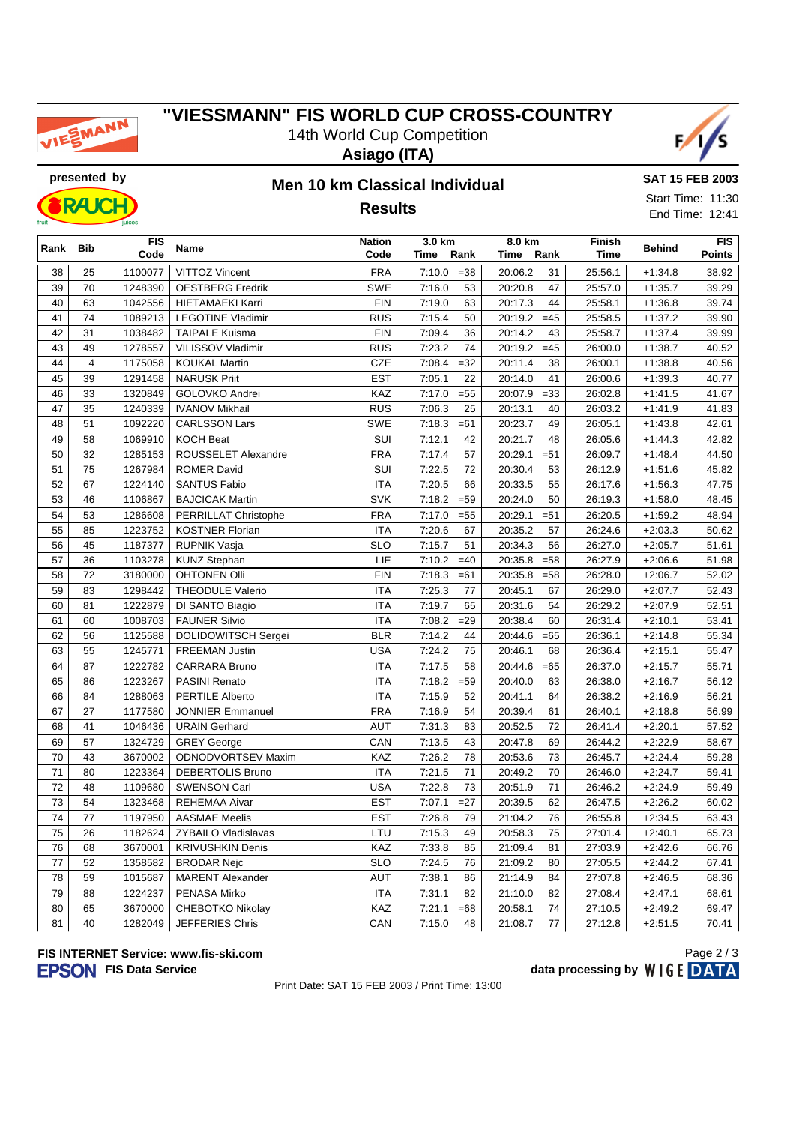

#### **"VIESSMANN" FIS WORLD CUP CROSS-COUNTRY** 14th World Cup Competition







### **presented by Men 10 km Classical Individual Results**

**SAT 15 FEB 2003** Start Time: 11:30 End Time: 12:41

|                 |                        | juices  |                            |            |                 |                            |         |               | 101111000112071 |  |
|-----------------|------------------------|---------|----------------------------|------------|-----------------|----------------------------|---------|---------------|-----------------|--|
|                 | <b>FIS</b><br>Rank Bib |         | Name                       |            | 3.0 km          | 8.0 km                     | Finish  | <b>Behind</b> | <b>FIS</b>      |  |
|                 |                        | Code    |                            | Code       | Time<br>Rank    | Time<br>Rank               | Time    |               | Points          |  |
| 38              | 25                     | 1100077 | <b>VITTOZ Vincent</b>      | <b>FRA</b> | 7:10.0<br>$=38$ | 31<br>20:06.2              | 25:56.1 | $+1:34.8$     | 38.92           |  |
| 39              | 70                     | 1248390 | <b>OESTBERG Fredrik</b>    | SWE        | 7:16.0<br>53    | 20:20.8<br>47              | 25:57.0 | $+1:35.7$     | 39.29           |  |
| 40              | 63                     | 1042556 | <b>HIETAMAEKI Karri</b>    | <b>FIN</b> | 63<br>7:19.0    | 20:17.3<br>44              | 25:58.1 | $+1:36.8$     | 39.74           |  |
| 41              | 74                     | 1089213 | <b>LEGOTINE Vladimir</b>   | <b>RUS</b> | 7:15.4<br>50    | 20:19.2<br>$=45$           | 25:58.5 | $+1:37.2$     | 39.90           |  |
| 42              | 31                     | 1038482 | <b>TAIPALE Kuisma</b>      | <b>FIN</b> | 7:09.4<br>36    | 20:14.2<br>43              | 25:58.7 | $+1:37.4$     | 39.99           |  |
| 43              | 49                     | 1278557 | VILISSOV Vladimir          | <b>RUS</b> | 7:23.2<br>74    | $=45$<br>20:19.2           | 26:00.0 | $+1:38.7$     | 40.52           |  |
| 44              | $\overline{4}$         | 1175058 | <b>KOUKAL Martin</b>       | <b>CZE</b> | 7:08.4<br>$=32$ | 20:11.4<br>38              | 26:00.1 | $+1:38.8$     | 40.56           |  |
| 45              | 39                     | 1291458 | <b>NARUSK Priit</b>        | <b>EST</b> | 22<br>7:05.1    | 41<br>20:14.0              | 26:00.6 | $+1:39.3$     | 40.77           |  |
| 46              | 33                     | 1320849 | GOLOVKO Andrei             | KAZ        | $=55$<br>7:17.0 | $=33$<br>20:07.9           | 26:02.8 | $+1:41.5$     | 41.67           |  |
| 47              | 35                     | 1240339 | <b>IVANOV Mikhail</b>      | <b>RUS</b> | 7:06.3<br>25    | 20:13.1<br>40              | 26:03.2 | $+1:41.9$     | 41.83           |  |
| 48              | 51                     | 1092220 | <b>CARLSSON Lars</b>       | SWE        | 7:18.3<br>$=61$ | 20:23.7<br>49              | 26:05.1 | $+1:43.8$     | 42.61           |  |
| 49              | 58                     | 1069910 | <b>KOCH Beat</b>           | SUI        | 7:12.1<br>42    | 20:21.7<br>48              | 26:05.6 | $+1:44.3$     | 42.82           |  |
| 50              | 32                     | 1285153 | ROUSSELET Alexandre        | <b>FRA</b> | 7:17.4<br>57    | 20:29.1<br>$= 51$          | 26:09.7 | $+1:48.4$     | 44.50           |  |
| 51              | 75                     | 1267984 | <b>ROMER David</b>         | SUI        | 72<br>7:22.5    | 20:30.4<br>53              | 26:12.9 | $+1:51.6$     | 45.82           |  |
| 52              | 67                     | 1224140 | <b>SANTUS Fabio</b>        | <b>ITA</b> | 7:20.5<br>66    | 20:33.5<br>55              | 26:17.6 | $+1:56.3$     | 47.75           |  |
| 53              | 46                     | 1106867 | <b>BAJCICAK Martin</b>     | <b>SVK</b> | 7:18.2<br>$=59$ | 20:24.0<br>50              | 26:19.3 | $+1:58.0$     | 48.45           |  |
| 54              | 53                     | 1286608 | PERRILLAT Christophe       | <b>FRA</b> | $=55$<br>7:17.0 | 20:29.1<br>$= 51$          | 26:20.5 | $+1:59.2$     | 48.94           |  |
| 55              | 85                     | 1223752 | <b>KOSTNER Florian</b>     | <b>ITA</b> | 7:20.6<br>67    | 20:35.2<br>57              | 26:24.6 | $+2:03.3$     | 50.62           |  |
| 56              | 45                     | 1187377 | <b>RUPNIK Vasja</b>        | <b>SLO</b> | 7:15.7<br>51    | 20:34.3<br>56              | 26:27.0 | $+2:05.7$     | 51.61           |  |
| 57              | 36                     | 1103278 | <b>KUNZ Stephan</b>        | LIE        | 7:10.2<br>$=40$ | 20:35.8<br>$= 58$          | 26:27.9 | $+2:06.6$     | 51.98           |  |
| 58              | 72                     | 3180000 | <b>OHTONEN Olli</b>        | <b>FIN</b> | 7:18.3<br>$=61$ | 20:35.8<br>$= 58$          | 26:28.0 | $+2:06.7$     | 52.02           |  |
| 59              | 83                     | 1298442 | THEODULE Valerio           | <b>ITA</b> | 7:25.3<br>77    | 20:45.1<br>67              | 26:29.0 | $+2:07.7$     | 52.43           |  |
| 60              | 81                     | 1222879 | DI SANTO Biagio            | <b>ITA</b> | 7:19.7<br>65    | 20:31.6<br>54              | 26:29.2 | $+2:07.9$     | 52.51           |  |
| 61              | 60                     | 1008703 | <b>FAUNER Silvio</b>       | <b>ITA</b> | 7:08.2<br>$=29$ | 20:38.4<br>60              | 26:31.4 | $+2:10.1$     | 53.41           |  |
| 62              | 56                     | 1125588 | <b>DOLIDOWITSCH Sergei</b> | <b>BLR</b> | 7:14.2<br>44    | 20:44.6<br>$=65$           | 26:36.1 | $+2:14.8$     | 55.34           |  |
| 63              | 55                     | 1245771 | <b>FREEMAN Justin</b>      | <b>USA</b> | 7:24.2<br>75    | 20:46.1<br>68              | 26:36.4 | $+2:15.1$     | 55.47           |  |
| 64              | 87                     | 1222782 | CARRARA Bruno              | <b>ITA</b> | 7:17.5<br>58    | 20:44.6<br>$=65$           | 26:37.0 | $+2:15.7$     | 55.71           |  |
| 65              | 86                     | 1223267 | <b>PASINI Renato</b>       | <b>ITA</b> | $=59$<br>7:18.2 | 63<br>20:40.0              | 26:38.0 | $+2:16.7$     | 56.12           |  |
| 66              | 84                     | 1288063 | <b>PERTILE Alberto</b>     | <b>ITA</b> | 7:15.9<br>52    | 20:41.1<br>64              | 26:38.2 | $+2:16.9$     | 56.21           |  |
| 67              | 27                     | 1177580 | <b>JONNIER Emmanuel</b>    | <b>FRA</b> | 7:16.9<br>54    | 20:39.4<br>61              | 26:40.1 | $+2:18.8$     | 56.99           |  |
| 68              | 41                     | 1046436 | <b>URAIN Gerhard</b>       | AUT        | 7:31.3<br>83    | 20:52.5<br>72              | 26:41.4 | $+2:20.1$     | 57.52           |  |
| 69              | 57                     | 1324729 | <b>GREY George</b>         | CAN        | 7:13.5<br>43    | 20:47.8<br>69              | 26:44.2 | $+2:22.9$     | 58.67           |  |
| 70              | 43                     | 3670002 | <b>ODNODVORTSEV Maxim</b>  | KAZ        | 7:26.2<br>78    | 20:53.6<br>73              | 26:45.7 | $+2:24.4$     | 59.28           |  |
| 71              | 80                     | 1223364 | <b>DEBERTOLIS Bruno</b>    | <b>ITA</b> | 7:21.5<br>71    | 20:49.2<br>70              | 26:46.0 | $+2:24.7$     | 59.41           |  |
| 72              | 48                     | 1109680 | <b>SWENSON Carl</b>        | <b>USA</b> | 73<br>7:22.8    | 20:51.9<br>71              | 26:46.2 | $+2:24.9$     | 59.49           |  |
| 73              | 54                     | 1323468 | <b>REHEMAA Aivar</b>       | <b>EST</b> | $=27$<br>7:07.1 | 62<br>20:39.5              | 26:47.5 | $+2:26.2$     | 60.02           |  |
| $\overline{74}$ | $\overline{77}$        | 1197950 | AASMAE Meelis              | <b>EST</b> | 7:26.8<br>79    | 21:04.2<br>$\overline{76}$ | 26:55.8 | $+2:34.5$     | 63.43           |  |
| 75              | 26                     | 1182624 | <b>ZYBAILO Vladislavas</b> | LTU        | 7:15.3<br>49    | 20:58.3<br>75              | 27:01.4 | $+2:40.1$     | 65.73           |  |
| 76              | 68                     | 3670001 | <b>KRIVUSHKIN Denis</b>    | KAZ        | 85<br>7:33.8    | 21:09.4<br>81              | 27:03.9 | $+2:42.6$     | 66.76           |  |
| 77              | 52                     | 1358582 | <b>BRODAR Nejc</b>         | <b>SLO</b> | 7:24.5<br>76    | 21:09.2<br>80              | 27:05.5 | $+2:44.2$     | 67.41           |  |
| 78              | 59                     | 1015687 | <b>MARENT Alexander</b>    | AUT        | 7:38.1<br>86    | 21:14.9<br>84              | 27:07.8 | $+2:46.5$     | 68.36           |  |
| 79              | 88                     | 1224237 | PENASA Mirko               | <b>ITA</b> | 7:31.1<br>82    | 21:10.0<br>82              | 27:08.4 | $+2:47.1$     | 68.61           |  |
| 80              | 65                     | 3670000 | CHEBOTKO Nikolay           | KAZ        | 7:21.1<br>$=68$ | 20:58.1<br>74              | 27:10.5 | $+2:49.2$     | 69.47           |  |
| 81              | 40                     | 1282049 | JEFFERIES Chris            | CAN        | 7:15.0<br>48    | 21:08.7<br>77              | 27:12.8 | $+2:51.5$     | 70.41           |  |

#### **FIS INTERNET Service: www.fis-ski.com**

**FIS Data Service data processing by**  $W \mid G E$  **DATA** 

Print Date: SAT 15 FEB 2003 / Print Time: 13:00

Page 2 / 3